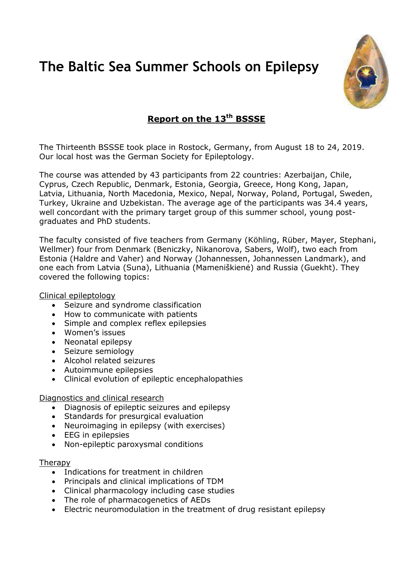# **The Baltic Sea Summer Schools on Epilepsy**



# **Report on the 13 th BSSSE**

The Thirteenth BSSSE took place in Rostock, Germany, from August 18 to 24, 2019. Our local host was the German Society for Epileptology.

The course was attended by 43 participants from 22 countries: Azerbaijan, Chile, Cyprus, Czech Republic, Denmark, Estonia, Georgia, Greece, Hong Kong, Japan, Latvia, Lithuania, North Macedonia, Mexico, Nepal, Norway, Poland, Portugal, Sweden, Turkey, Ukraine and Uzbekistan. The average age of the participants was 34.4 years, well concordant with the primary target group of this summer school, young postgraduates and PhD students.

The faculty consisted of five teachers from Germany (Köhling, Rüber, Mayer, Stephani, Wellmer) four from Denmark (Beniczky, Nikanorova, Sabers, Wolf), two each from Estonia (Haldre and Vaher) and Norway (Johannessen, Johannessen Landmark), and one each from Latvia (Suna), Lithuania (Mameniškienė) and Russia (Guekht). They covered the following topics:

Clinical epileptology

- Seizure and syndrome classification
- How to communicate with patients
- Simple and complex reflex epilepsies
- Women's issues
- Neonatal epilepsy
- Seizure semiology
- Alcohol related seizures
- Autoimmune epilepsies
- Clinical evolution of epileptic encephalopathies

Diagnostics and clinical research

- Diagnosis of epileptic seizures and epilepsy
- Standards for presurgical evaluation
- Neuroimaging in epilepsy (with exercises)
- EEG in epilepsies
- Non-epileptic paroxysmal conditions

#### Therapy

- Indications for treatment in children
- Principals and clinical implications of TDM
- Clinical pharmacology including case studies
- The role of pharmacogenetics of AEDs
- Electric neuromodulation in the treatment of drug resistant epilepsy